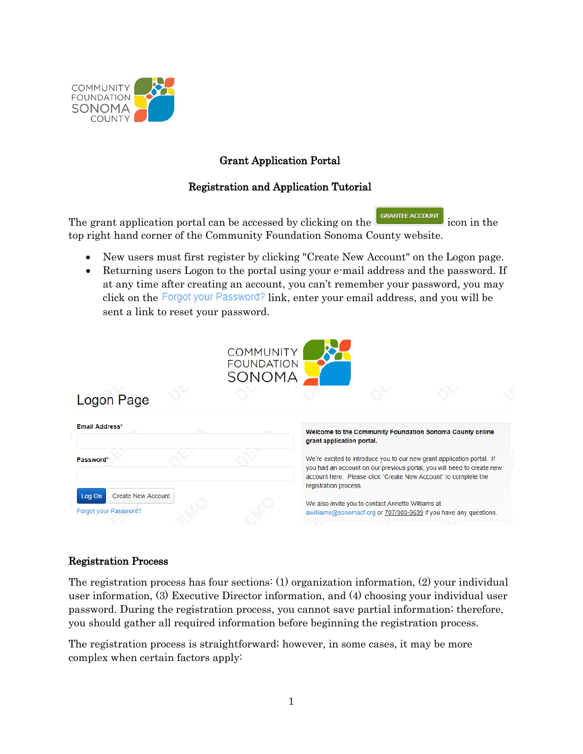

# Grant Application Portal

### Registration and Application Tutorial

The grant application portal can be accessed by clicking on the  $\frac{G_{\text{RANITE} \text{ ACCOUNT}}}{\text{RANITE} \cdot \text{CON}}$  icon in the top right hand corner of the Community Foundation Sonoma County website.

- New users must first register by clicking "Create New Account" on the Logon page.
- Returning users Logon to the portal using your e-mail address and the password. If at any time after creating an account, you can't remember your password, you may click on the Forgot your Password? link, enter your email address, and you will be sent a link to reset your password.





### Registration Process

The registration process has four sections: (1) organization information, (2) your individual user information, (3) Executive Director information, and (4) choosing your individual user password. During the registration process, you cannot save partial information; therefore, you should gather all required information before beginning the registration process.

The registration process is straightforward; however, in some cases, it may be more complex when certain factors apply: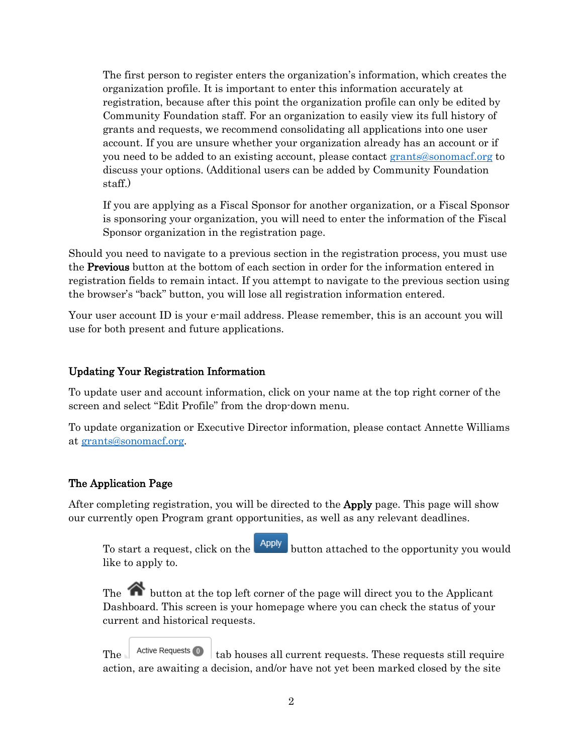The first person to register enters the organization's information, which creates the organization profile. It is important to enter this information accurately at registration, because after this point the organization profile can only be edited by Community Foundation staff. For an organization to easily view its full history of grants and requests, we recommend consolidating all applications into one user account. If you are unsure whether your organization already has an account or if you need to be added to an existing account, please contact [grants@sonomacf.org](mailto:grants@sonomacf.org) to discuss your options. (Additional users can be added by Community Foundation staff.)

If you are applying as a Fiscal Sponsor for another organization, or a Fiscal Sponsor is sponsoring your organization, you will need to enter the information of the Fiscal Sponsor organization in the registration page.

Should you need to navigate to a previous section in the registration process, you must use the Previous button at the bottom of each section in order for the information entered in registration fields to remain intact. If you attempt to navigate to the previous section using the browser's "back" button, you will lose all registration information entered.

Your user account ID is your e-mail address. Please remember, this is an account you will use for both present and future applications.

## Updating Your Registration Information

To update user and account information, click on your name at the top right corner of the screen and select "Edit Profile" from the drop-down menu.

To update organization or Executive Director information, please contact Annette Williams at [grants@sonomacf.org.](mailto:grants@sonomacf.org)

### The Application Page

After completing registration, you will be directed to the Apply page. This page will show our currently open Program grant opportunities, as well as any relevant deadlines.

To start a request, click on the **Apply** button attached to the opportunity you would like to apply to.

The button at the top left corner of the page will direct you to the Applicant Dashboard. This screen is your homepage where you can check the status of your current and historical requests.

The  $\blacksquare$  Active Requests  $\blacksquare$   $\blacksquare$  tab houses all current requests. These requests still require action, are awaiting a decision, and/or have not yet been marked closed by the site